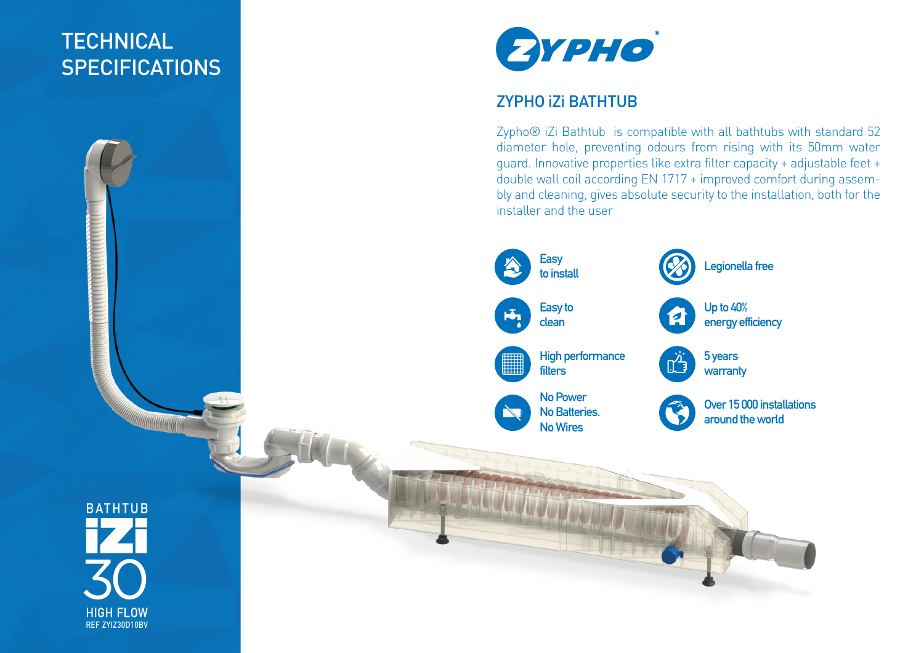## **TECHNICAL SPECIFICATIONS**



## ZYPHO iZi BATHTUB

Zypho<sup>®</sup> iZi Bathtub is compatible with all bathtubs with standard 52 diameter hole, preventing odours from rising with its 50mm water guard. Innovative properties like extra filter capacity + adjustable feet + double wall coil according EN 1717 + improved comfort during assembly and cleaning, gives absolute security to the installation, both for the installer and the user

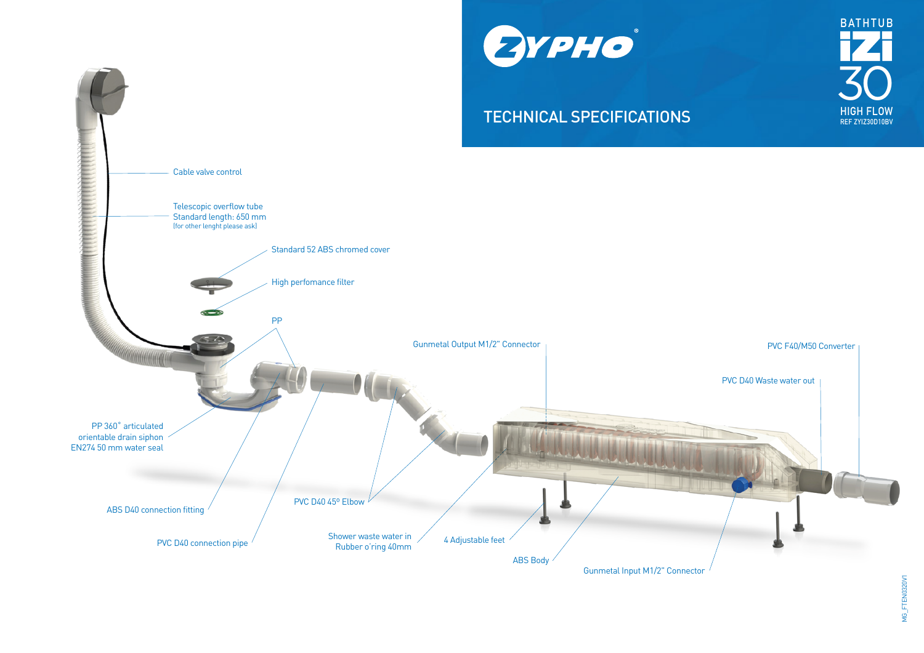



## **TECHNICAL SPECIFICATIONS** HIGH FLOW